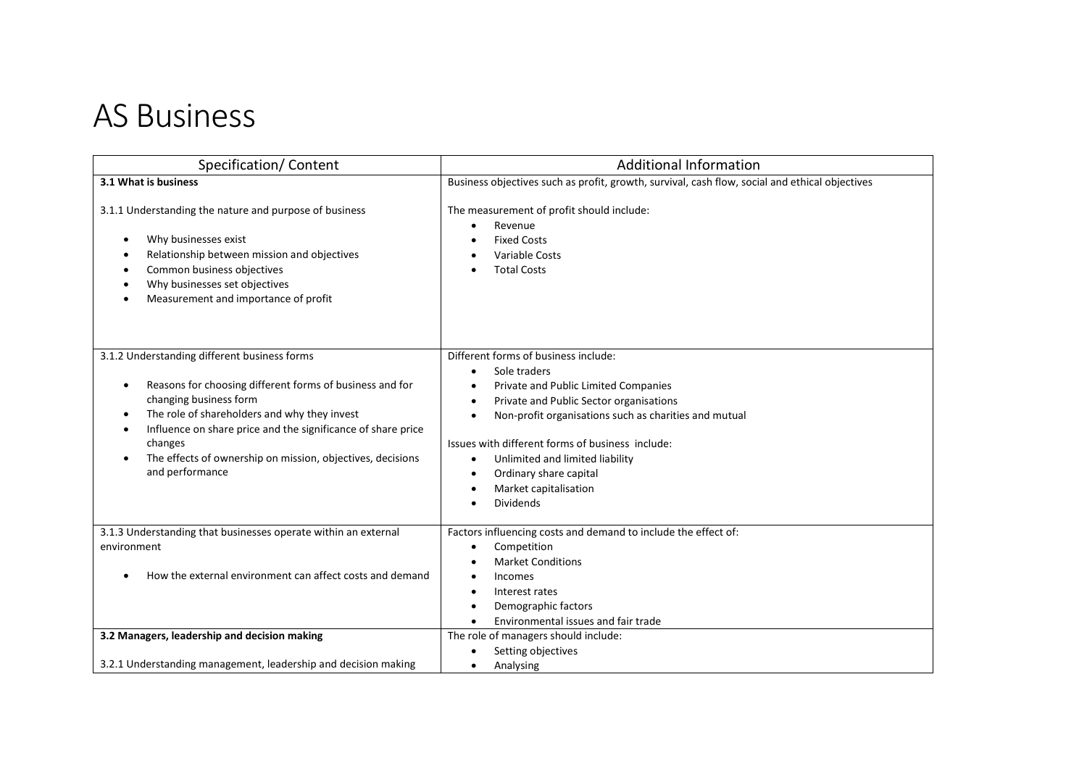## AS Business

| Specification/Content                                                                                                                                                                                                                                                                                                                          | <b>Additional Information</b>                                                                                                                                                                                                                                                                                                                                                                                                                |
|------------------------------------------------------------------------------------------------------------------------------------------------------------------------------------------------------------------------------------------------------------------------------------------------------------------------------------------------|----------------------------------------------------------------------------------------------------------------------------------------------------------------------------------------------------------------------------------------------------------------------------------------------------------------------------------------------------------------------------------------------------------------------------------------------|
| 3.1 What is business                                                                                                                                                                                                                                                                                                                           | Business objectives such as profit, growth, survival, cash flow, social and ethical objectives                                                                                                                                                                                                                                                                                                                                               |
| 3.1.1 Understanding the nature and purpose of business<br>Why businesses exist<br>Relationship between mission and objectives<br>Common business objectives<br>Why businesses set objectives<br>Measurement and importance of profit                                                                                                           | The measurement of profit should include:<br>Revenue<br><b>Fixed Costs</b><br>Variable Costs<br><b>Total Costs</b>                                                                                                                                                                                                                                                                                                                           |
| 3.1.2 Understanding different business forms<br>Reasons for choosing different forms of business and for<br>changing business form<br>The role of shareholders and why they invest<br>Influence on share price and the significance of share price<br>changes<br>The effects of ownership on mission, objectives, decisions<br>and performance | Different forms of business include:<br>Sole traders<br>Private and Public Limited Companies<br>$\bullet$<br>Private and Public Sector organisations<br>$\bullet$<br>Non-profit organisations such as charities and mutual<br>$\bullet$<br>Issues with different forms of business include:<br>Unlimited and limited liability<br>$\bullet$<br>Ordinary share capital<br>$\bullet$<br>Market capitalisation<br>$\bullet$<br><b>Dividends</b> |
| 3.1.3 Understanding that businesses operate within an external<br>environment<br>How the external environment can affect costs and demand                                                                                                                                                                                                      | Factors influencing costs and demand to include the effect of:<br>Competition<br>$\bullet$<br><b>Market Conditions</b><br>Incomes<br>Interest rates<br>Demographic factors<br>Environmental issues and fair trade                                                                                                                                                                                                                            |
| 3.2 Managers, leadership and decision making                                                                                                                                                                                                                                                                                                   | The role of managers should include:                                                                                                                                                                                                                                                                                                                                                                                                         |
| 3.2.1 Understanding management, leadership and decision making                                                                                                                                                                                                                                                                                 | Setting objectives<br>Analysing                                                                                                                                                                                                                                                                                                                                                                                                              |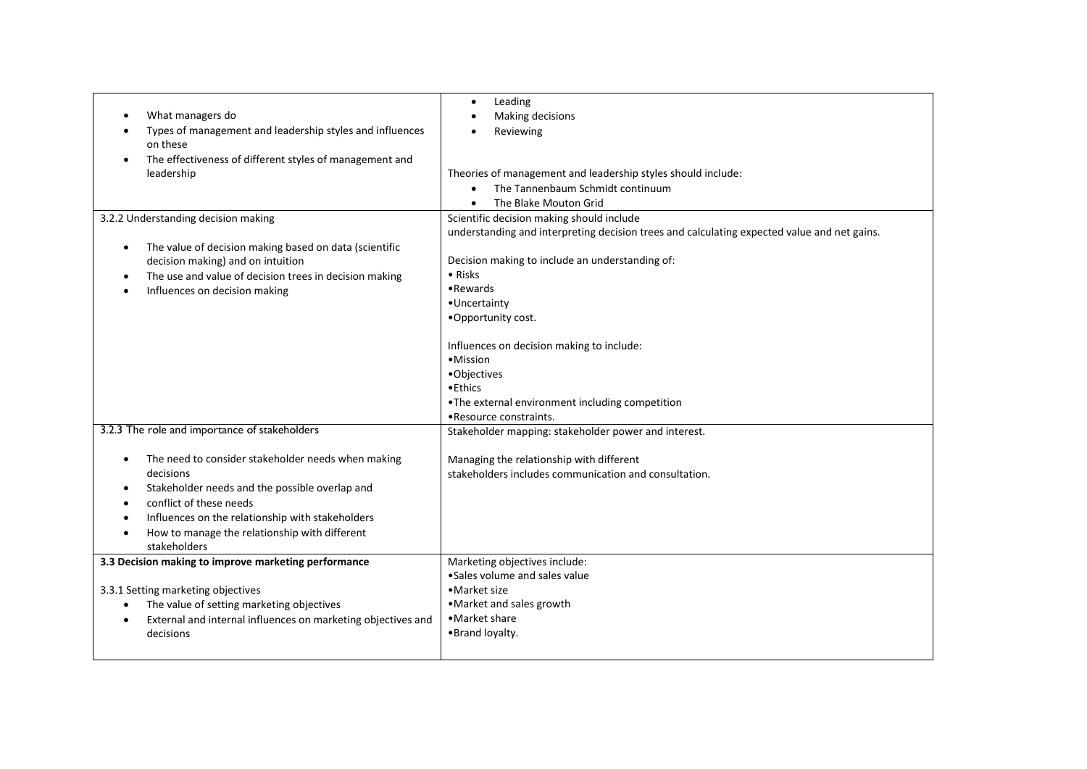|                                                                           | Leading<br>$\bullet$                                                                        |
|---------------------------------------------------------------------------|---------------------------------------------------------------------------------------------|
| What managers do                                                          | Making decisions                                                                            |
| Types of management and leadership styles and influences                  | Reviewing                                                                                   |
| on these                                                                  |                                                                                             |
| The effectiveness of different styles of management and                   |                                                                                             |
| leadership                                                                | Theories of management and leadership styles should include:                                |
|                                                                           | The Tannenbaum Schmidt continuum<br>$\bullet$                                               |
|                                                                           | The Blake Mouton Grid                                                                       |
| 3.2.2 Understanding decision making                                       | Scientific decision making should include                                                   |
|                                                                           | understanding and interpreting decision trees and calculating expected value and net gains. |
| The value of decision making based on data (scientific<br>$\bullet$       |                                                                                             |
| decision making) and on intuition                                         | Decision making to include an understanding of:                                             |
| The use and value of decision trees in decision making                    | $\bullet$ Risks                                                                             |
| $\bullet$                                                                 | •Rewards                                                                                    |
| Influences on decision making                                             | •Uncertainty                                                                                |
|                                                                           | .Opportunity cost.                                                                          |
|                                                                           |                                                                                             |
|                                                                           | Influences on decision making to include:                                                   |
|                                                                           | •Mission                                                                                    |
|                                                                           | •Objectives                                                                                 |
|                                                                           | $\bullet$ Ethics                                                                            |
|                                                                           | .The external environment including competition                                             |
|                                                                           | •Resource constraints.                                                                      |
| 3.2.3 The role and importance of stakeholders                             | Stakeholder mapping: stakeholder power and interest.                                        |
|                                                                           |                                                                                             |
| The need to consider stakeholder needs when making<br>$\bullet$           | Managing the relationship with different                                                    |
| decisions                                                                 | stakeholders includes communication and consultation.                                       |
| Stakeholder needs and the possible overlap and<br>٠                       |                                                                                             |
| conflict of these needs                                                   |                                                                                             |
| Influences on the relationship with stakeholders                          |                                                                                             |
| How to manage the relationship with different                             |                                                                                             |
| stakeholders                                                              |                                                                                             |
| 3.3 Decision making to improve marketing performance                      | Marketing objectives include:                                                               |
|                                                                           | • Sales volume and sales value                                                              |
| 3.3.1 Setting marketing objectives                                        | •Market size                                                                                |
| The value of setting marketing objectives<br>$\bullet$                    | • Market and sales growth                                                                   |
| External and internal influences on marketing objectives and<br>$\bullet$ | •Market share                                                                               |
| decisions                                                                 | •Brand loyalty.                                                                             |
|                                                                           |                                                                                             |
|                                                                           |                                                                                             |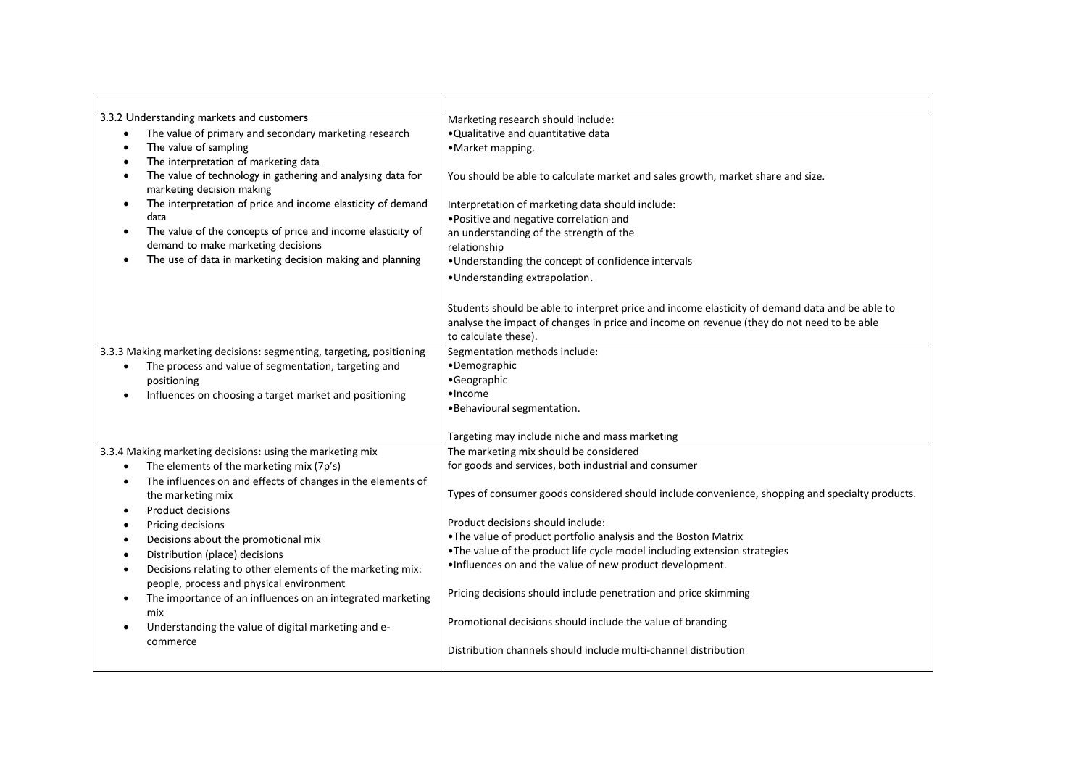| 3.3.2 Understanding markets and customers<br>The value of primary and secondary marketing research<br>The value of sampling<br>The interpretation of marketing data<br>The value of technology in gathering and analysing data for<br>marketing decision making<br>The interpretation of price and income elasticity of demand<br>data<br>The value of the concepts of price and income elasticity of<br>demand to make marketing decisions<br>The use of data in marketing decision making and planning<br>$\bullet$                                                                                        | Marketing research should include:<br>. Qualitative and quantitative data<br>•Market mapping.<br>You should be able to calculate market and sales growth, market share and size.<br>Interpretation of marketing data should include:<br>. Positive and negative correlation and<br>an understanding of the strength of the<br>relationship<br>•Understanding the concept of confidence intervals<br>.Understanding extrapolation.                                                                                                                                                                                                                        |
|--------------------------------------------------------------------------------------------------------------------------------------------------------------------------------------------------------------------------------------------------------------------------------------------------------------------------------------------------------------------------------------------------------------------------------------------------------------------------------------------------------------------------------------------------------------------------------------------------------------|----------------------------------------------------------------------------------------------------------------------------------------------------------------------------------------------------------------------------------------------------------------------------------------------------------------------------------------------------------------------------------------------------------------------------------------------------------------------------------------------------------------------------------------------------------------------------------------------------------------------------------------------------------|
|                                                                                                                                                                                                                                                                                                                                                                                                                                                                                                                                                                                                              | Students should be able to interpret price and income elasticity of demand data and be able to<br>analyse the impact of changes in price and income on revenue (they do not need to be able<br>to calculate these).                                                                                                                                                                                                                                                                                                                                                                                                                                      |
| 3.3.3 Making marketing decisions: segmenting, targeting, positioning<br>The process and value of segmentation, targeting and<br>positioning<br>Influences on choosing a target market and positioning                                                                                                                                                                                                                                                                                                                                                                                                        | Segmentation methods include:<br>·Demographic<br>•Geographic<br>$•$ Income<br>. Behavioural segmentation.<br>Targeting may include niche and mass marketing                                                                                                                                                                                                                                                                                                                                                                                                                                                                                              |
| 3.3.4 Making marketing decisions: using the marketing mix<br>The elements of the marketing mix (7p's)<br>The influences on and effects of changes in the elements of<br>the marketing mix<br><b>Product decisions</b><br>Pricing decisions<br>$\bullet$<br>Decisions about the promotional mix<br>$\bullet$<br>Distribution (place) decisions<br>Decisions relating to other elements of the marketing mix:<br>people, process and physical environment<br>The importance of an influences on an integrated marketing<br>$\bullet$<br>mix<br>Understanding the value of digital marketing and e-<br>commerce | The marketing mix should be considered<br>for goods and services, both industrial and consumer<br>Types of consumer goods considered should include convenience, shopping and specialty products.<br>Product decisions should include:<br>. The value of product portfolio analysis and the Boston Matrix<br>. The value of the product life cycle model including extension strategies<br>. Influences on and the value of new product development.<br>Pricing decisions should include penetration and price skimming<br>Promotional decisions should include the value of branding<br>Distribution channels should include multi-channel distribution |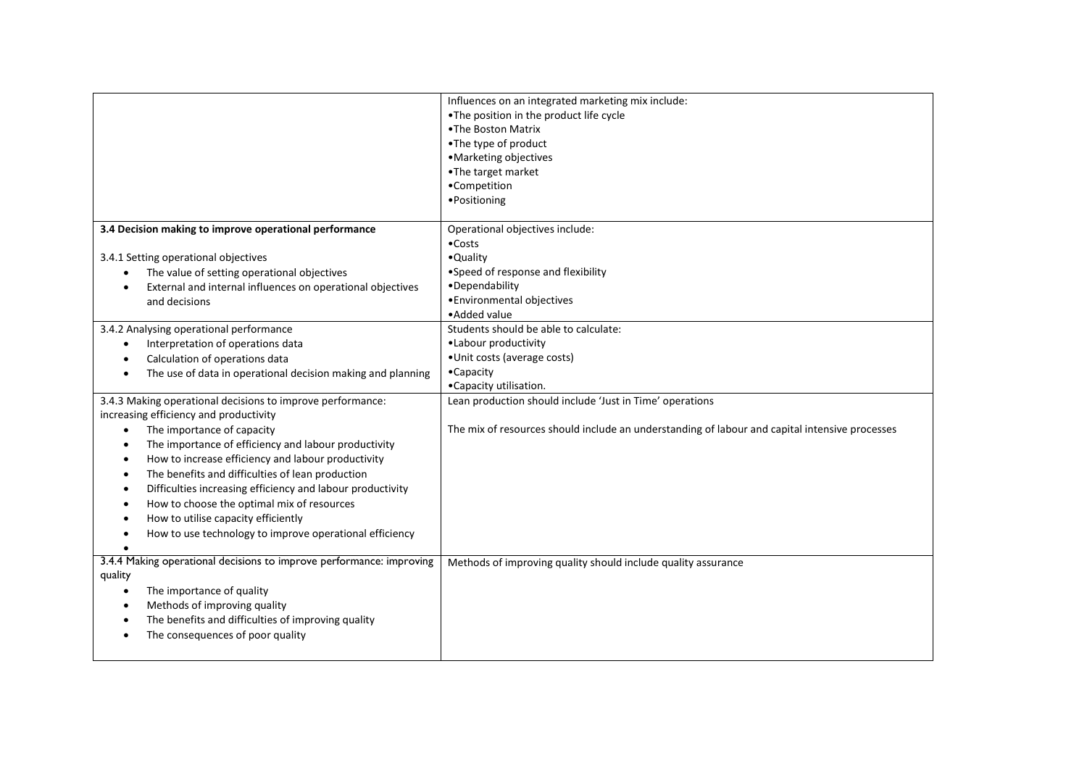|                                                                         | Influences on an integrated marketing mix include:                                             |
|-------------------------------------------------------------------------|------------------------------------------------------------------------------------------------|
|                                                                         | •The position in the product life cycle                                                        |
|                                                                         | .The Boston Matrix                                                                             |
|                                                                         | •The type of product                                                                           |
|                                                                         | •Marketing objectives                                                                          |
|                                                                         | •The target market                                                                             |
|                                                                         | •Competition                                                                                   |
|                                                                         | ·Positioning                                                                                   |
|                                                                         |                                                                                                |
| 3.4 Decision making to improve operational performance                  | Operational objectives include:                                                                |
|                                                                         | $\bullet$ Costs                                                                                |
| 3.4.1 Setting operational objectives                                    | •Quality                                                                                       |
| The value of setting operational objectives                             | •Speed of response and flexibility                                                             |
| External and internal influences on operational objectives<br>$\bullet$ | ·Dependability                                                                                 |
| and decisions                                                           | · Environmental objectives                                                                     |
|                                                                         | • Added value                                                                                  |
| 3.4.2 Analysing operational performance                                 | Students should be able to calculate:                                                          |
| Interpretation of operations data                                       | •Labour productivity                                                                           |
| Calculation of operations data                                          | ·Unit costs (average costs)                                                                    |
| The use of data in operational decision making and planning             | •Capacity                                                                                      |
|                                                                         | •Capacity utilisation.                                                                         |
| 3.4.3 Making operational decisions to improve performance:              | Lean production should include 'Just in Time' operations                                       |
| increasing efficiency and productivity                                  |                                                                                                |
| The importance of capacity<br>$\bullet$                                 | The mix of resources should include an understanding of labour and capital intensive processes |
| The importance of efficiency and labour productivity<br>٠               |                                                                                                |
| How to increase efficiency and labour productivity<br>٠                 |                                                                                                |
| The benefits and difficulties of lean production<br>٠                   |                                                                                                |
| Difficulties increasing efficiency and labour productivity              |                                                                                                |
| How to choose the optimal mix of resources                              |                                                                                                |
| How to utilise capacity efficiently<br>٠                                |                                                                                                |
| How to use technology to improve operational efficiency                 |                                                                                                |
|                                                                         |                                                                                                |
| 3.4.4 Making operational decisions to improve performance: improving    | Methods of improving quality should include quality assurance                                  |
| quality                                                                 |                                                                                                |
| The importance of quality<br>$\bullet$                                  |                                                                                                |
| Methods of improving quality<br>٠                                       |                                                                                                |
| The benefits and difficulties of improving quality<br>$\bullet$         |                                                                                                |
| The consequences of poor quality                                        |                                                                                                |
|                                                                         |                                                                                                |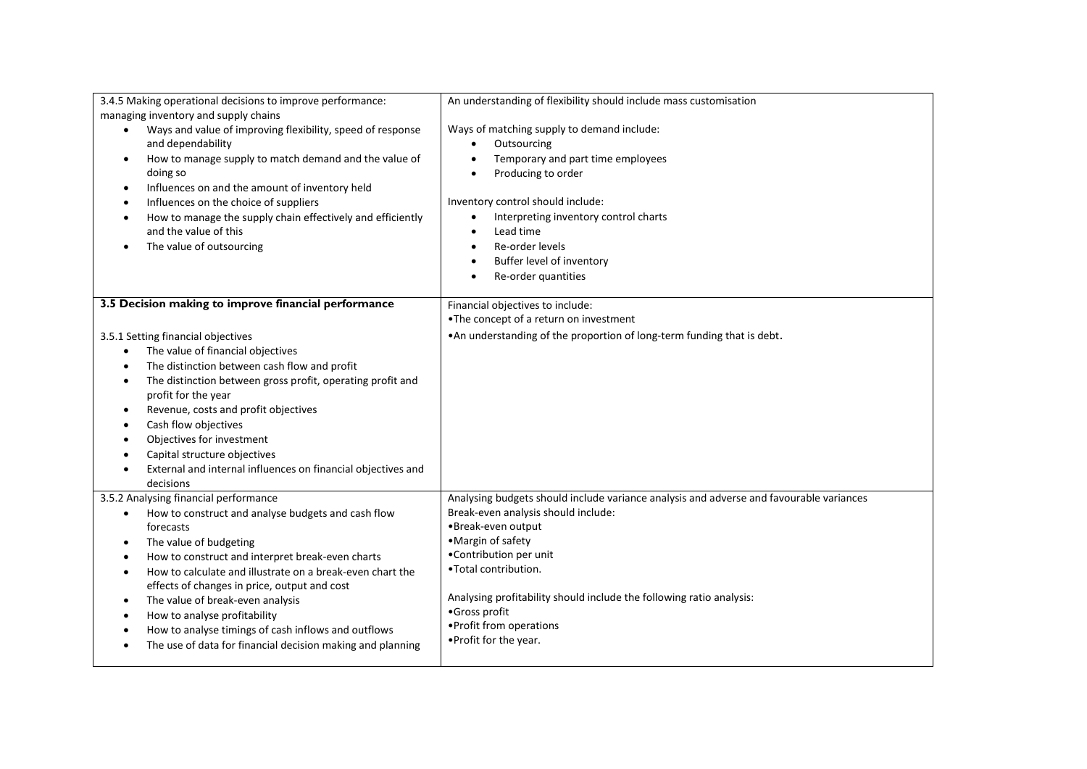| 3.4.5 Making operational decisions to improve performance:              | An understanding of flexibility should include mass customisation                       |
|-------------------------------------------------------------------------|-----------------------------------------------------------------------------------------|
| managing inventory and supply chains                                    |                                                                                         |
| Ways and value of improving flexibility, speed of response<br>$\bullet$ | Ways of matching supply to demand include:                                              |
| and dependability                                                       | Outsourcing                                                                             |
| How to manage supply to match demand and the value of<br>$\bullet$      | Temporary and part time employees<br>$\bullet$                                          |
| doing so                                                                | Producing to order<br>$\bullet$                                                         |
| Influences on and the amount of inventory held<br>$\bullet$             |                                                                                         |
| Influences on the choice of suppliers<br>٠                              | Inventory control should include:                                                       |
| How to manage the supply chain effectively and efficiently<br>٠         | Interpreting inventory control charts                                                   |
| and the value of this                                                   | Lead time<br>$\bullet$                                                                  |
| The value of outsourcing<br>٠                                           | Re-order levels<br>$\bullet$                                                            |
|                                                                         | Buffer level of inventory<br>$\bullet$                                                  |
|                                                                         | Re-order quantities                                                                     |
| 3.5 Decision making to improve financial performance                    | Financial objectives to include:                                                        |
|                                                                         | . The concept of a return on investment                                                 |
| 3.5.1 Setting financial objectives                                      | • An understanding of the proportion of long-term funding that is debt.                 |
| The value of financial objectives<br>$\bullet$                          |                                                                                         |
| The distinction between cash flow and profit<br>$\bullet$               |                                                                                         |
| The distinction between gross profit, operating profit and<br>٠         |                                                                                         |
| profit for the year                                                     |                                                                                         |
| Revenue, costs and profit objectives<br>$\bullet$                       |                                                                                         |
| Cash flow objectives<br>٠                                               |                                                                                         |
| Objectives for investment<br>٠                                          |                                                                                         |
| Capital structure objectives                                            |                                                                                         |
| External and internal influences on financial objectives and            |                                                                                         |
| decisions                                                               |                                                                                         |
| 3.5.2 Analysing financial performance                                   | Analysing budgets should include variance analysis and adverse and favourable variances |
| How to construct and analyse budgets and cash flow<br>$\bullet$         | Break-even analysis should include:                                                     |
| forecasts                                                               | •Break-even output                                                                      |
| The value of budgeting<br>$\bullet$                                     | •Margin of safety                                                                       |
| How to construct and interpret break-even charts<br>٠                   | •Contribution per unit                                                                  |
| How to calculate and illustrate on a break-even chart the               | .Total contribution.                                                                    |
| effects of changes in price, output and cost                            |                                                                                         |
| The value of break-even analysis<br>٠                                   | Analysing profitability should include the following ratio analysis:                    |
| How to analyse profitability<br>٠                                       | •Gross profit                                                                           |
| How to analyse timings of cash inflows and outflows<br>٠                | • Profit from operations                                                                |
| The use of data for financial decision making and planning              | • Profit for the year.                                                                  |
|                                                                         |                                                                                         |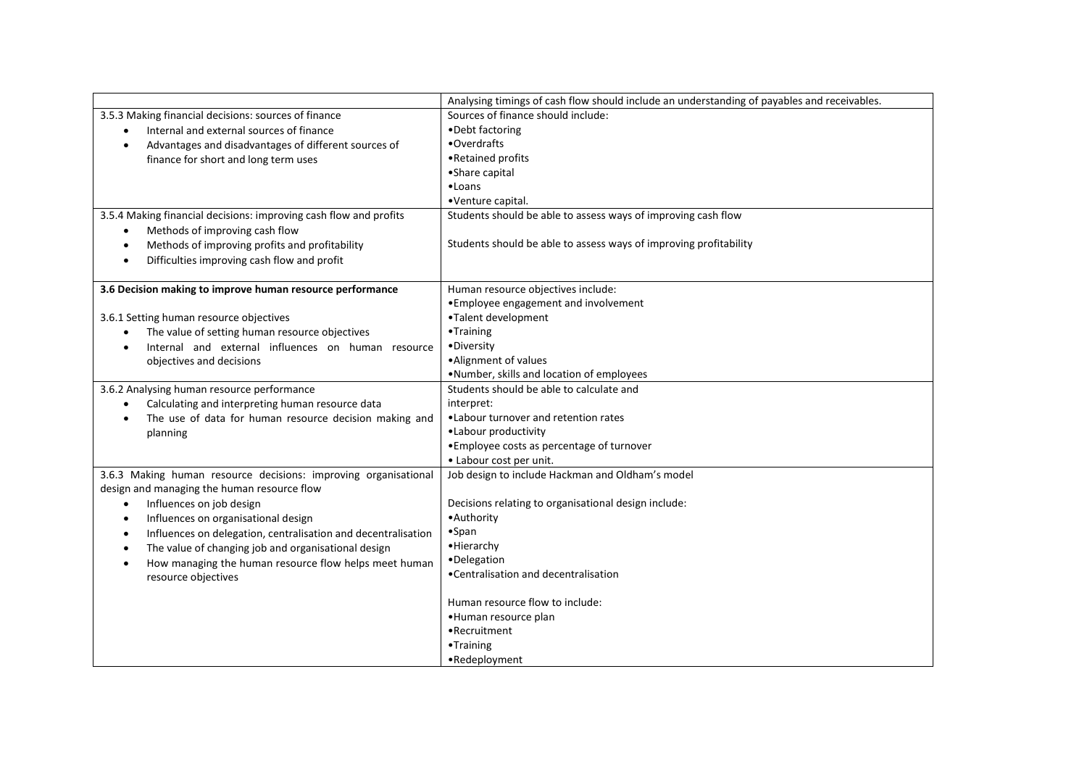|                                                                     | Analysing timings of cash flow should include an understanding of payables and receivables. |
|---------------------------------------------------------------------|---------------------------------------------------------------------------------------------|
| 3.5.3 Making financial decisions: sources of finance                | Sources of finance should include:                                                          |
| Internal and external sources of finance                            | •Debt factoring                                                                             |
| Advantages and disadvantages of different sources of<br>$\bullet$   | •Overdrafts                                                                                 |
| finance for short and long term uses                                | •Retained profits                                                                           |
|                                                                     | •Share capital                                                                              |
|                                                                     | •Loans                                                                                      |
|                                                                     | •Venture capital.                                                                           |
| 3.5.4 Making financial decisions: improving cash flow and profits   | Students should be able to assess ways of improving cash flow                               |
| Methods of improving cash flow<br>$\bullet$                         |                                                                                             |
| Methods of improving profits and profitability<br>$\bullet$         | Students should be able to assess ways of improving profitability                           |
| Difficulties improving cash flow and profit<br>$\bullet$            |                                                                                             |
|                                                                     |                                                                                             |
| 3.6 Decision making to improve human resource performance           | Human resource objectives include:                                                          |
|                                                                     | • Employee engagement and involvement                                                       |
| 3.6.1 Setting human resource objectives                             | •Talent development                                                                         |
| The value of setting human resource objectives                      | •Training                                                                                   |
| Internal and external influences on human resource                  | •Diversity                                                                                  |
| objectives and decisions                                            | •Alignment of values                                                                        |
|                                                                     | . Number, skills and location of employees                                                  |
| 3.6.2 Analysing human resource performance                          | Students should be able to calculate and                                                    |
| Calculating and interpreting human resource data                    | interpret:                                                                                  |
| The use of data for human resource decision making and<br>$\bullet$ | . Labour turnover and retention rates                                                       |
| planning                                                            | •Labour productivity                                                                        |
|                                                                     | • Employee costs as percentage of turnover                                                  |
|                                                                     | • Labour cost per unit.                                                                     |
| 3.6.3 Making human resource decisions: improving organisational     | Job design to include Hackman and Oldham's model                                            |
| design and managing the human resource flow                         |                                                                                             |
| Influences on job design<br>$\bullet$                               | Decisions relating to organisational design include:                                        |
| Influences on organisational design<br>$\bullet$                    | •Authority                                                                                  |
| Influences on delegation, centralisation and decentralisation<br>٠  | $•$ Span                                                                                    |
| The value of changing job and organisational design<br>$\bullet$    | • Hierarchy                                                                                 |
| How managing the human resource flow helps meet human<br>$\bullet$  | •Delegation                                                                                 |
| resource objectives                                                 | •Centralisation and decentralisation                                                        |
|                                                                     |                                                                                             |
|                                                                     | Human resource flow to include:                                                             |
|                                                                     | ·Human resource plan                                                                        |
|                                                                     | •Recruitment                                                                                |
|                                                                     | •Training                                                                                   |
|                                                                     | •Redeployment                                                                               |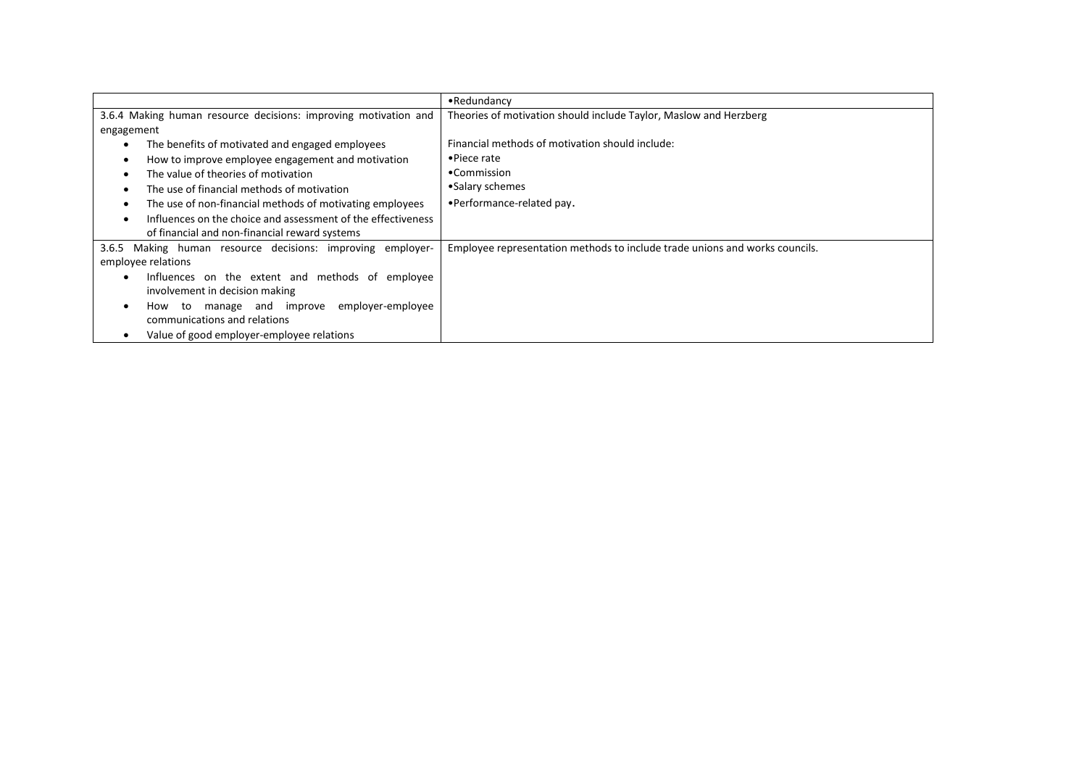|                                                                 | •Redundancy                                                                 |
|-----------------------------------------------------------------|-----------------------------------------------------------------------------|
| 3.6.4 Making human resource decisions: improving motivation and | Theories of motivation should include Taylor, Maslow and Herzberg           |
| engagement                                                      |                                                                             |
| The benefits of motivated and engaged employees                 | Financial methods of motivation should include:                             |
| How to improve employee engagement and motivation               | $\bullet$ Piece rate                                                        |
| The value of theories of motivation                             | •Commission                                                                 |
| The use of financial methods of motivation                      | •Salary schemes                                                             |
| The use of non-financial methods of motivating employees        | •Performance-related pay.                                                   |
| Influences on the choice and assessment of the effectiveness    |                                                                             |
| of financial and non-financial reward systems                   |                                                                             |
| Making human resource decisions: improving employer-<br>3.6.5   | Employee representation methods to include trade unions and works councils. |
| employee relations                                              |                                                                             |
| Influences on the extent and methods of employee                |                                                                             |
| involvement in decision making                                  |                                                                             |
| employer-employee<br>manage and improve<br>How to               |                                                                             |
| communications and relations                                    |                                                                             |
| Value of good employer-employee relations                       |                                                                             |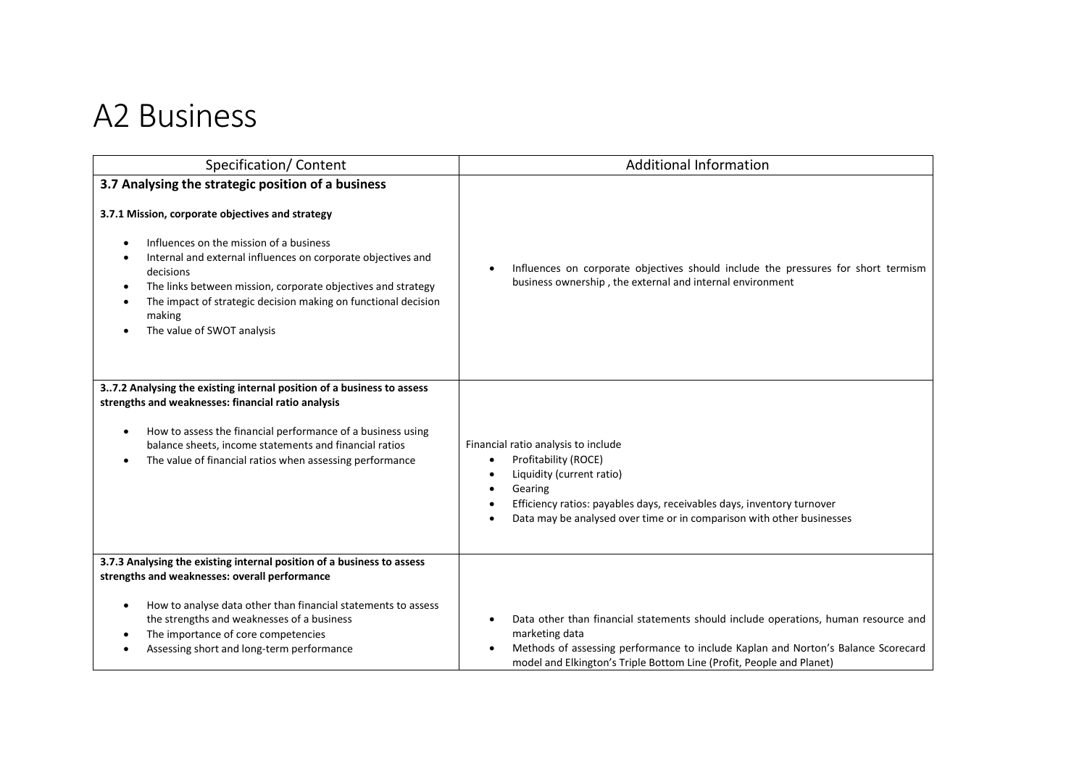## A2 Business

| Specification/Content                                                                                                                                                                                                                                                                                                                                                                                    | <b>Additional Information</b>                                                                                                                                                                                                                                                                 |
|----------------------------------------------------------------------------------------------------------------------------------------------------------------------------------------------------------------------------------------------------------------------------------------------------------------------------------------------------------------------------------------------------------|-----------------------------------------------------------------------------------------------------------------------------------------------------------------------------------------------------------------------------------------------------------------------------------------------|
| 3.7 Analysing the strategic position of a business<br>3.7.1 Mission, corporate objectives and strategy<br>Influences on the mission of a business<br>Internal and external influences on corporate objectives and<br>decisions<br>The links between mission, corporate objectives and strategy<br>The impact of strategic decision making on functional decision<br>making<br>The value of SWOT analysis | Influences on corporate objectives should include the pressures for short termism<br>$\bullet$<br>business ownership, the external and internal environment                                                                                                                                   |
| 37.2 Analysing the existing internal position of a business to assess<br>strengths and weaknesses: financial ratio analysis<br>How to assess the financial performance of a business using<br>balance sheets, income statements and financial ratios<br>The value of financial ratios when assessing performance                                                                                         | Financial ratio analysis to include<br>Profitability (ROCE)<br>$\bullet$<br>Liquidity (current ratio)<br>$\bullet$<br>Gearing<br>$\bullet$<br>Efficiency ratios: payables days, receivables days, inventory turnover<br>Data may be analysed over time or in comparison with other businesses |
| 3.7.3 Analysing the existing internal position of a business to assess<br>strengths and weaknesses: overall performance<br>How to analyse data other than financial statements to assess<br>the strengths and weaknesses of a business<br>The importance of core competencies<br>Assessing short and long-term performance                                                                               | Data other than financial statements should include operations, human resource and<br>$\bullet$<br>marketing data<br>Methods of assessing performance to include Kaplan and Norton's Balance Scorecard<br>model and Elkington's Triple Bottom Line (Profit, People and Planet)                |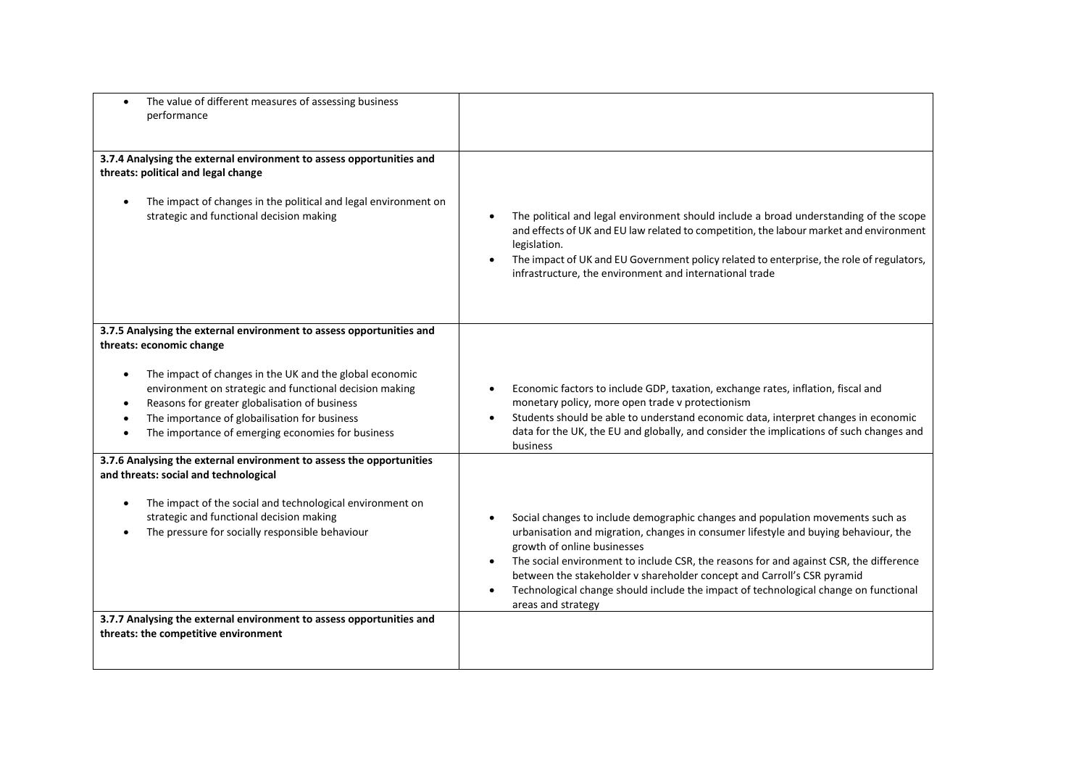| The value of different measures of assessing business<br>performance                                                                                                                                                                                                                                                                                                                                    |                                                                                                                                                                                                                                                                                                                                                                                                                                                                                                      |
|---------------------------------------------------------------------------------------------------------------------------------------------------------------------------------------------------------------------------------------------------------------------------------------------------------------------------------------------------------------------------------------------------------|------------------------------------------------------------------------------------------------------------------------------------------------------------------------------------------------------------------------------------------------------------------------------------------------------------------------------------------------------------------------------------------------------------------------------------------------------------------------------------------------------|
| 3.7.4 Analysing the external environment to assess opportunities and<br>threats: political and legal change<br>The impact of changes in the political and legal environment on<br>strategic and functional decision making                                                                                                                                                                              | The political and legal environment should include a broad understanding of the scope<br>$\bullet$<br>and effects of UK and EU law related to competition, the labour market and environment<br>legislation.<br>The impact of UK and EU Government policy related to enterprise, the role of regulators,<br>infrastructure, the environment and international trade                                                                                                                                  |
| 3.7.5 Analysing the external environment to assess opportunities and<br>threats: economic change<br>The impact of changes in the UK and the global economic<br>$\bullet$<br>environment on strategic and functional decision making<br>Reasons for greater globalisation of business<br>$\bullet$<br>The importance of globailisation for business<br>The importance of emerging economies for business | Economic factors to include GDP, taxation, exchange rates, inflation, fiscal and<br>$\bullet$<br>monetary policy, more open trade v protectionism<br>Students should be able to understand economic data, interpret changes in economic<br>data for the UK, the EU and globally, and consider the implications of such changes and<br>business                                                                                                                                                       |
| 3.7.6 Analysing the external environment to assess the opportunities<br>and threats: social and technological<br>The impact of the social and technological environment on<br>strategic and functional decision making<br>The pressure for socially responsible behaviour<br>$\bullet$                                                                                                                  | Social changes to include demographic changes and population movements such as<br>urbanisation and migration, changes in consumer lifestyle and buying behaviour, the<br>growth of online businesses<br>The social environment to include CSR, the reasons for and against CSR, the difference<br>between the stakeholder v shareholder concept and Carroll's CSR pyramid<br>Technological change should include the impact of technological change on functional<br>$\bullet$<br>areas and strategy |
| 3.7.7 Analysing the external environment to assess opportunities and<br>threats: the competitive environment                                                                                                                                                                                                                                                                                            |                                                                                                                                                                                                                                                                                                                                                                                                                                                                                                      |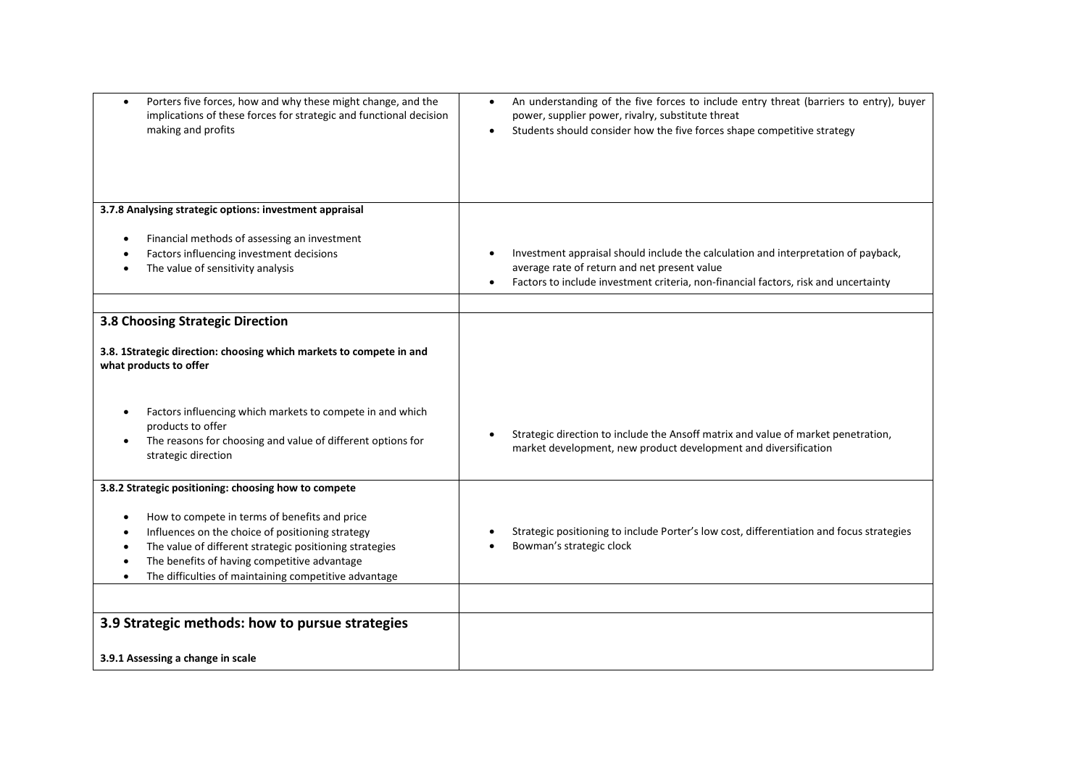| Porters five forces, how and why these might change, and the<br>$\bullet$<br>implications of these forces for strategic and functional decision<br>making and profits                                                                                                                                                         | An understanding of the five forces to include entry threat (barriers to entry), buyer<br>$\bullet$<br>power, supplier power, rivalry, substitute threat<br>Students should consider how the five forces shape competitive strategy |
|-------------------------------------------------------------------------------------------------------------------------------------------------------------------------------------------------------------------------------------------------------------------------------------------------------------------------------|-------------------------------------------------------------------------------------------------------------------------------------------------------------------------------------------------------------------------------------|
| 3.7.8 Analysing strategic options: investment appraisal                                                                                                                                                                                                                                                                       |                                                                                                                                                                                                                                     |
| Financial methods of assessing an investment<br>Factors influencing investment decisions<br>The value of sensitivity analysis                                                                                                                                                                                                 | Investment appraisal should include the calculation and interpretation of payback,<br>average rate of return and net present value<br>Factors to include investment criteria, non-financial factors, risk and uncertainty<br>٠      |
| 3.8 Choosing Strategic Direction                                                                                                                                                                                                                                                                                              |                                                                                                                                                                                                                                     |
| 3.8. 1Strategic direction: choosing which markets to compete in and<br>what products to offer                                                                                                                                                                                                                                 |                                                                                                                                                                                                                                     |
| Factors influencing which markets to compete in and which<br>products to offer<br>The reasons for choosing and value of different options for<br>strategic direction                                                                                                                                                          | Strategic direction to include the Ansoff matrix and value of market penetration,<br>market development, new product development and diversification                                                                                |
| 3.8.2 Strategic positioning: choosing how to compete<br>How to compete in terms of benefits and price<br>Influences on the choice of positioning strategy<br>The value of different strategic positioning strategies<br>The benefits of having competitive advantage<br>The difficulties of maintaining competitive advantage | Strategic positioning to include Porter's low cost, differentiation and focus strategies<br>Bowman's strategic clock                                                                                                                |
|                                                                                                                                                                                                                                                                                                                               |                                                                                                                                                                                                                                     |
| 3.9 Strategic methods: how to pursue strategies                                                                                                                                                                                                                                                                               |                                                                                                                                                                                                                                     |
| 3.9.1 Assessing a change in scale                                                                                                                                                                                                                                                                                             |                                                                                                                                                                                                                                     |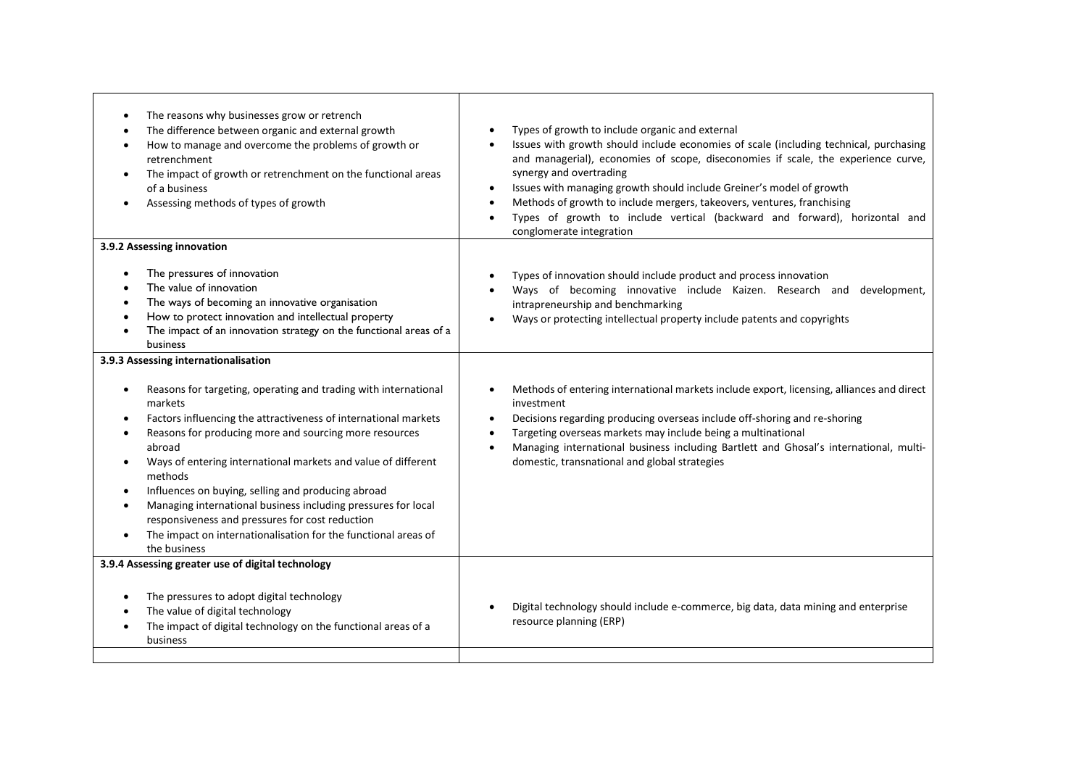| The reasons why businesses grow or retrench<br>The difference between organic and external growth<br>How to manage and overcome the problems of growth or<br>retrenchment<br>The impact of growth or retrenchment on the functional areas<br>of a business<br>Assessing methods of types of growth                                                                                                                                                                                                                                                                                       | Types of growth to include organic and external<br>$\bullet$<br>Issues with growth should include economies of scale (including technical, purchasing<br>and managerial), economies of scope, diseconomies if scale, the experience curve,<br>synergy and overtrading<br>Issues with managing growth should include Greiner's model of growth<br>$\bullet$<br>Methods of growth to include mergers, takeovers, ventures, franchising<br>$\bullet$<br>Types of growth to include vertical (backward and forward), horizontal and<br>$\bullet$<br>conglomerate integration |
|------------------------------------------------------------------------------------------------------------------------------------------------------------------------------------------------------------------------------------------------------------------------------------------------------------------------------------------------------------------------------------------------------------------------------------------------------------------------------------------------------------------------------------------------------------------------------------------|--------------------------------------------------------------------------------------------------------------------------------------------------------------------------------------------------------------------------------------------------------------------------------------------------------------------------------------------------------------------------------------------------------------------------------------------------------------------------------------------------------------------------------------------------------------------------|
| 3.9.2 Assessing innovation                                                                                                                                                                                                                                                                                                                                                                                                                                                                                                                                                               |                                                                                                                                                                                                                                                                                                                                                                                                                                                                                                                                                                          |
| The pressures of innovation<br>$\bullet$<br>The value of innovation<br>The ways of becoming an innovative organisation<br>How to protect innovation and intellectual property<br>The impact of an innovation strategy on the functional areas of a<br>business                                                                                                                                                                                                                                                                                                                           | Types of innovation should include product and process innovation<br>Ways of becoming innovative include Kaizen. Research and development,<br>$\bullet$<br>intrapreneurship and benchmarking<br>Ways or protecting intellectual property include patents and copyrights                                                                                                                                                                                                                                                                                                  |
| 3.9.3 Assessing internationalisation                                                                                                                                                                                                                                                                                                                                                                                                                                                                                                                                                     |                                                                                                                                                                                                                                                                                                                                                                                                                                                                                                                                                                          |
| Reasons for targeting, operating and trading with international<br>$\bullet$<br>markets<br>Factors influencing the attractiveness of international markets<br>٠<br>Reasons for producing more and sourcing more resources<br>abroad<br>Ways of entering international markets and value of different<br>methods<br>Influences on buying, selling and producing abroad<br>$\bullet$<br>Managing international business including pressures for local<br>responsiveness and pressures for cost reduction<br>The impact on internationalisation for the functional areas of<br>the business | Methods of entering international markets include export, licensing, alliances and direct<br>$\bullet$<br>investment<br>Decisions regarding producing overseas include off-shoring and re-shoring<br>$\bullet$<br>Targeting overseas markets may include being a multinational<br>$\bullet$<br>Managing international business including Bartlett and Ghosal's international, multi-<br>$\bullet$<br>domestic, transnational and global strategies                                                                                                                       |
| 3.9.4 Assessing greater use of digital technology                                                                                                                                                                                                                                                                                                                                                                                                                                                                                                                                        |                                                                                                                                                                                                                                                                                                                                                                                                                                                                                                                                                                          |
| The pressures to adopt digital technology<br>$\bullet$<br>The value of digital technology<br>The impact of digital technology on the functional areas of a<br>business                                                                                                                                                                                                                                                                                                                                                                                                                   | Digital technology should include e-commerce, big data, data mining and enterprise<br>$\bullet$<br>resource planning (ERP)                                                                                                                                                                                                                                                                                                                                                                                                                                               |